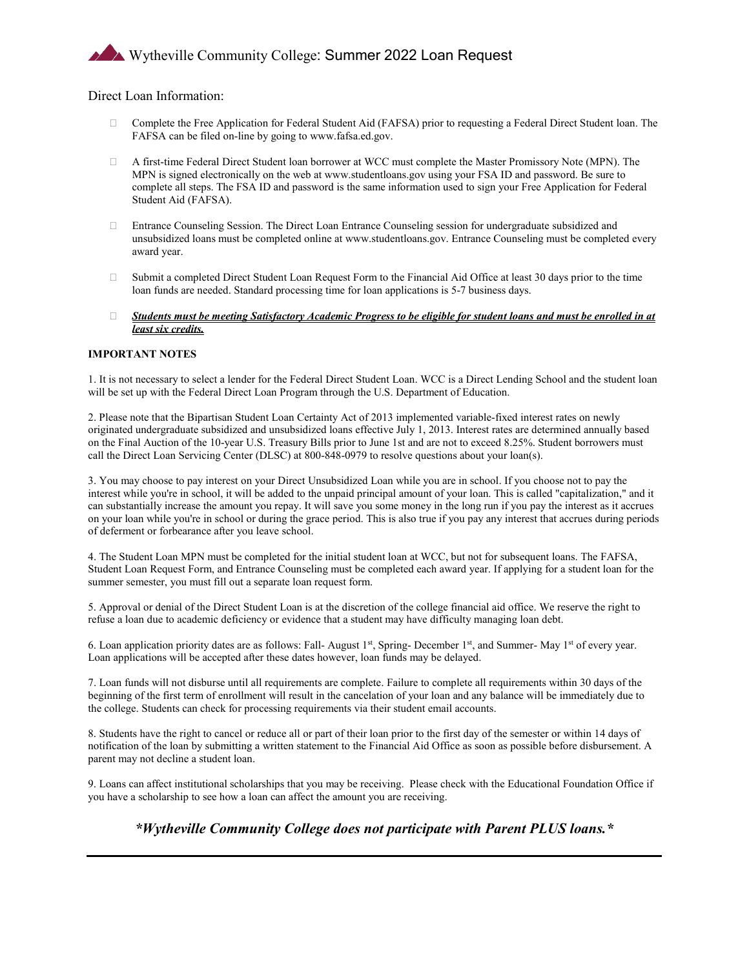# Wytheville Community College: Summer 2022 Loan Request

### Direct Loan Information:

- Complete the Free Application for Federal Student Aid (FAFSA) prior to requesting a Federal Direct Student loan. The FAFSA can be filed on-line by going to www.fafsa.ed.gov.
- A first-time Federal Direct Student loan borrower at WCC must complete the Master Promissory Note (MPN). The MPN is signed electronically on the web at www.studentloans.gov using your FSA ID and password. Be sure to complete all steps. The FSA ID and password is the same information used to sign your Free Application for Federal Student Aid (FAFSA).
- Entrance Counseling Session. The Direct Loan Entrance Counseling session for undergraduate subsidized and unsubsidized loans must be completed online at www.studentloans.gov. Entrance Counseling must be completed every award year.
- $\Box$  Submit a completed Direct Student Loan Request Form to the Financial Aid Office at least 30 days prior to the time loan funds are needed. Standard processing time for loan applications is 5-7 business days.
- *Students must be meeting Satisfactory Academic Progress to be eligible for student loans and must be enrolled in at least six credits.*

#### **IMPORTANT NOTES**

1. It is not necessary to select a lender for the Federal Direct Student Loan. WCC is a Direct Lending School and the student loan will be set up with the Federal Direct Loan Program through the U.S. Department of Education.

2. Please note that the Bipartisan Student Loan Certainty Act of 2013 implemented variable-fixed interest rates on newly originated undergraduate subsidized and unsubsidized loans effective July 1, 2013. Interest rates are determined annually based on the Final Auction of the 10-year U.S. Treasury Bills prior to June 1st and are not to exceed 8.25%. Student borrowers must call the Direct Loan Servicing Center (DLSC) at 800-848-0979 to resolve questions about your loan(s).

3. You may choose to pay interest on your Direct Unsubsidized Loan while you are in school. If you choose not to pay the interest while you're in school, it will be added to the unpaid principal amount of your loan. This is called "capitalization," and it can substantially increase the amount you repay. It will save you some money in the long run if you pay the interest as it accrues on your loan while you're in school or during the grace period. This is also true if you pay any interest that accrues during periods of deferment or forbearance after you leave school.

4. The Student Loan MPN must be completed for the initial student loan at WCC, but not for subsequent loans. The FAFSA, Student Loan Request Form, and Entrance Counseling must be completed each award year. If applying for a student loan for the summer semester, you must fill out a separate loan request form.

5. Approval or denial of the Direct Student Loan is at the discretion of the college financial aid office. We reserve the right to refuse a loan due to academic deficiency or evidence that a student may have difficulty managing loan debt.

6. Loan application priority dates are as follows: Fall- August 1st, Spring- December 1st, and Summer- May 1st of every year. Loan applications will be accepted after these dates however, loan funds may be delayed.

7. Loan funds will not disburse until all requirements are complete. Failure to complete all requirements within 30 days of the beginning of the first term of enrollment will result in the cancelation of your loan and any balance will be immediately due to the college. Students can check for processing requirements via their student email accounts.

8. Students have the right to cancel or reduce all or part of their loan prior to the first day of the semester or within 14 days of notification of the loan by submitting a written statement to the Financial Aid Office as soon as possible before disbursement. A parent may not decline a student loan.

9. Loans can affect institutional scholarships that you may be receiving. Please check with the Educational Foundation Office if you have a scholarship to see how a loan can affect the amount you are receiving.

## *\*Wytheville Community College does not participate with Parent PLUS loans.\**